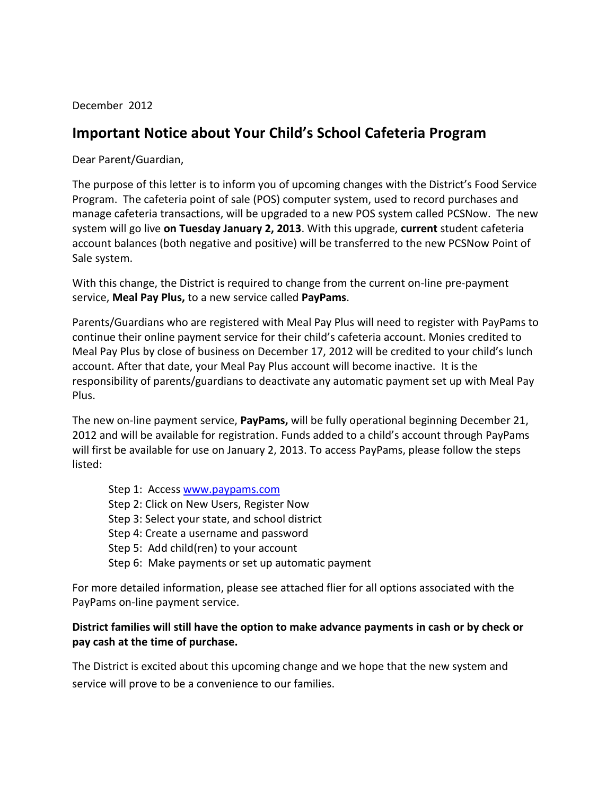December 2012

## **Important Notice about Your Child's School Cafeteria Program**

Dear Parent/Guardian,

The purpose of this letter is to inform you of upcoming changes with the District's Food Service Program. The cafeteria point of sale (POS) computer system, used to record purchases and manage cafeteria transactions, will be upgraded to a new POS system called PCSNow. The new system will go live **on Tuesday January 2, 2013**. With this upgrade, **current** student cafeteria account balances (both negative and positive) will be transferred to the new PCSNow Point of Sale system.

With this change, the District is required to change from the current on-line pre-payment service, **Meal Pay Plus,** to a new service called **PayPams**.

Parents/Guardians who are registered with Meal Pay Plus will need to register with PayPams to continue their online payment service for their child's cafeteria account. Monies credited to Meal Pay Plus by close of business on December 17, 2012 will be credited to your child's lunch account. After that date, your Meal Pay Plus account will become inactive. It is the responsibility of parents/guardians to deactivate any automatic payment set up with Meal Pay Plus.

The new on-line payment service, **PayPams,** will be fully operational beginning December 21, 2012 and will be available for registration. Funds added to a child's account through PayPams will first be available for use on January 2, 2013. To access PayPams, please follow the steps listed:

Step 1: Access [www.paypams.com](http://www.paypams.com/) Step 2: Click on New Users, Register Now Step 3: Select your state, and school district Step 4: Create a username and password Step 5: Add child(ren) to your account Step 6: Make payments or set up automatic payment

For more detailed information, please see attached flier for all options associated with the PayPams on-line payment service.

## **District families will still have the option to make advance payments in cash or by check or pay cash at the time of purchase.**

The District is excited about this upcoming change and we hope that the new system and service will prove to be a convenience to our families.